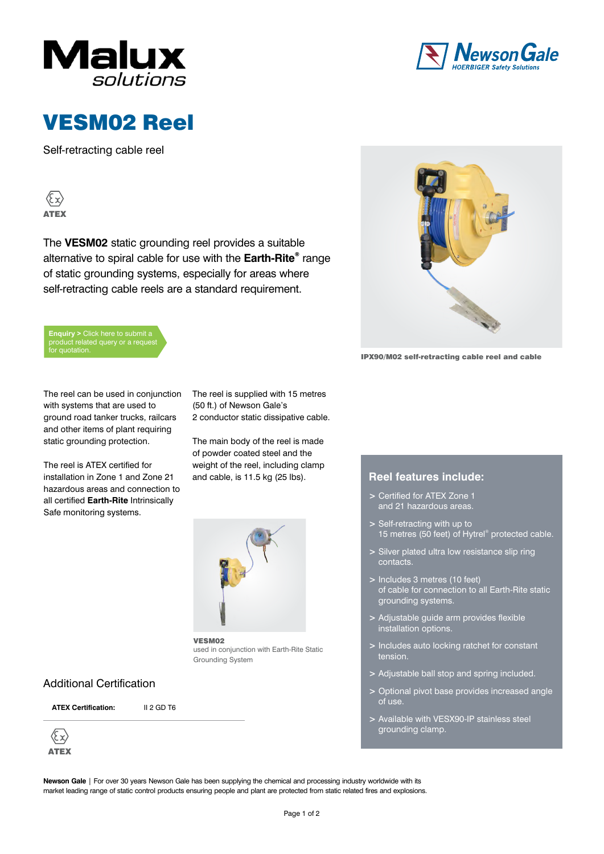



# VESM02 Reel

Self-retracting cable reel

**Ex>** ATEX

The **VESM02** static grounding reel provides a suitable alternative to spiral cable for use with the **Earth-Rite**® range of static grounding systems, especially for areas where self-retracting cable reels are a standard requirement.





IPX90/M02 self-retracting cable reel and cable

The reel can be used in conjunction with systems that are used to ground road tanker trucks, railcars and other items of plant requiring static grounding protection.

The reel is ATEX certified for installation in Zone 1 and Zone 21 hazardous areas and connection to all certified **Earth-Rite** Intrinsically Safe monitoring systems.

The reel is supplied with 15 metres (50 ft.) of Newson Gale's 2 conductor static dissipative cable.

The main body of the reel is made of powder coated steel and the weight of the reel, including clamp and cable, is 11.5 kg (25 lbs). **Reel features include:** 



VESM02 used in conjunction with Earth-Rite Static Grounding System

### **Additional Certification**

**ATEX Certification:** II 2 GD T6

 $\langle \xi \chi \rangle$ ATEX

- **>** Certified for ATEX Zone 1 and 21 hazardous areas.
- **>** Self-retracting with up to 15 metres (50 feet) of Hytrel® protected cable.
- **>** Silver plated ultra low resistance slip ring contacts.
- **>** Includes 3 metres (10 feet) of cable for connection to all Earth-Rite static grounding systems.
- **>** Adjustable guide arm provides flexible installation options.
- **>** Includes auto locking ratchet for constant tension.
- **>** Adjustable ball stop and spring included.
- **>** Optional pivot base provides increased angle of use.
- **>** Available with VESX90-IP stainless steel grounding clamp.

**Newson Gale** | For over 30 years Newson Gale has been supplying the chemical and processing industry worldwide with its market leading range of static control products ensuring people and plant are protected from static related fires and explosions.